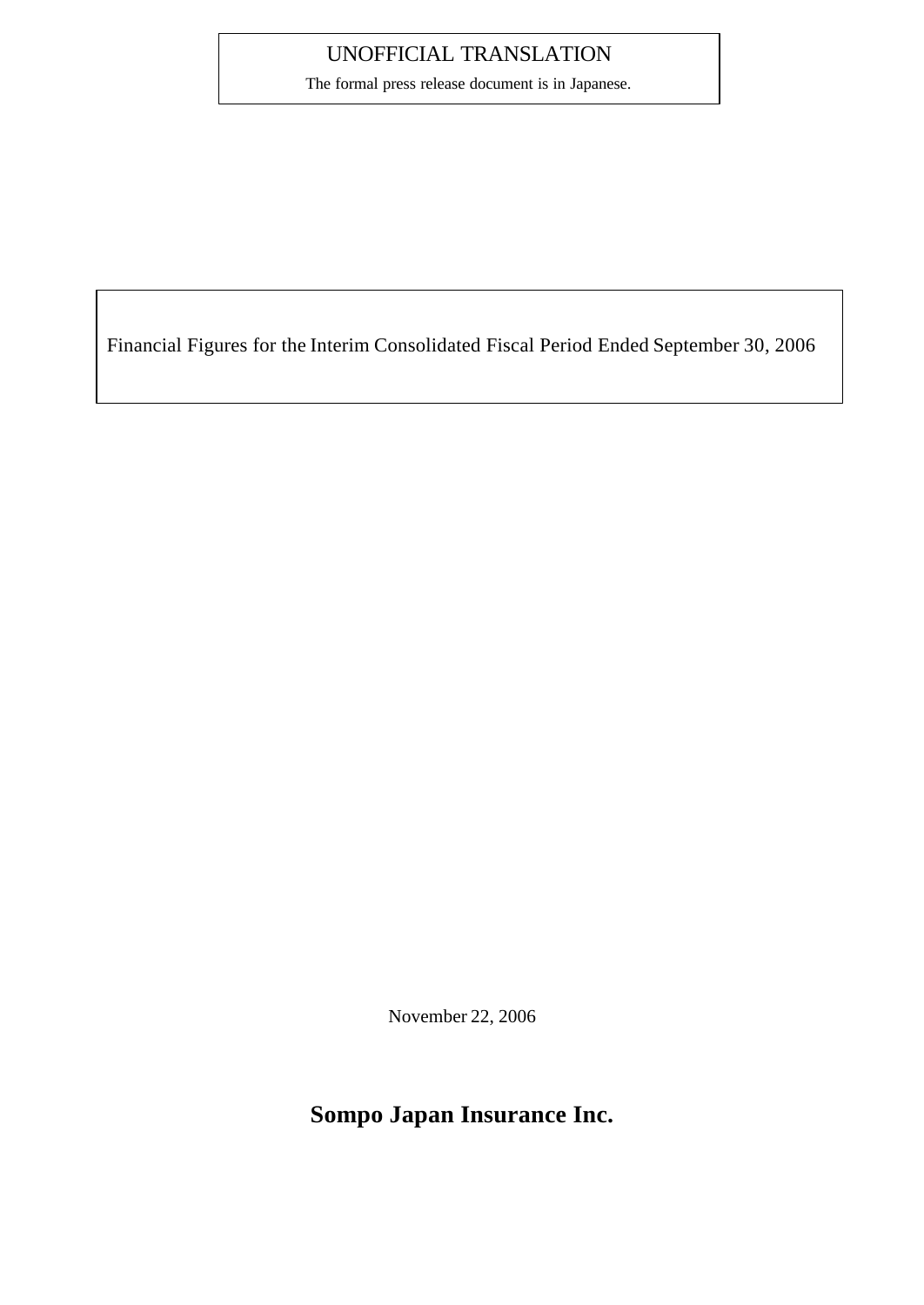## UNOFFICIAL TRANSLATION

The formal press release document is in Japanese.

Financial Figures for the Interim Consolidated Fiscal Period Ended September 30, 2006

November 22, 2006

## **Sompo Japan Insurance Inc.**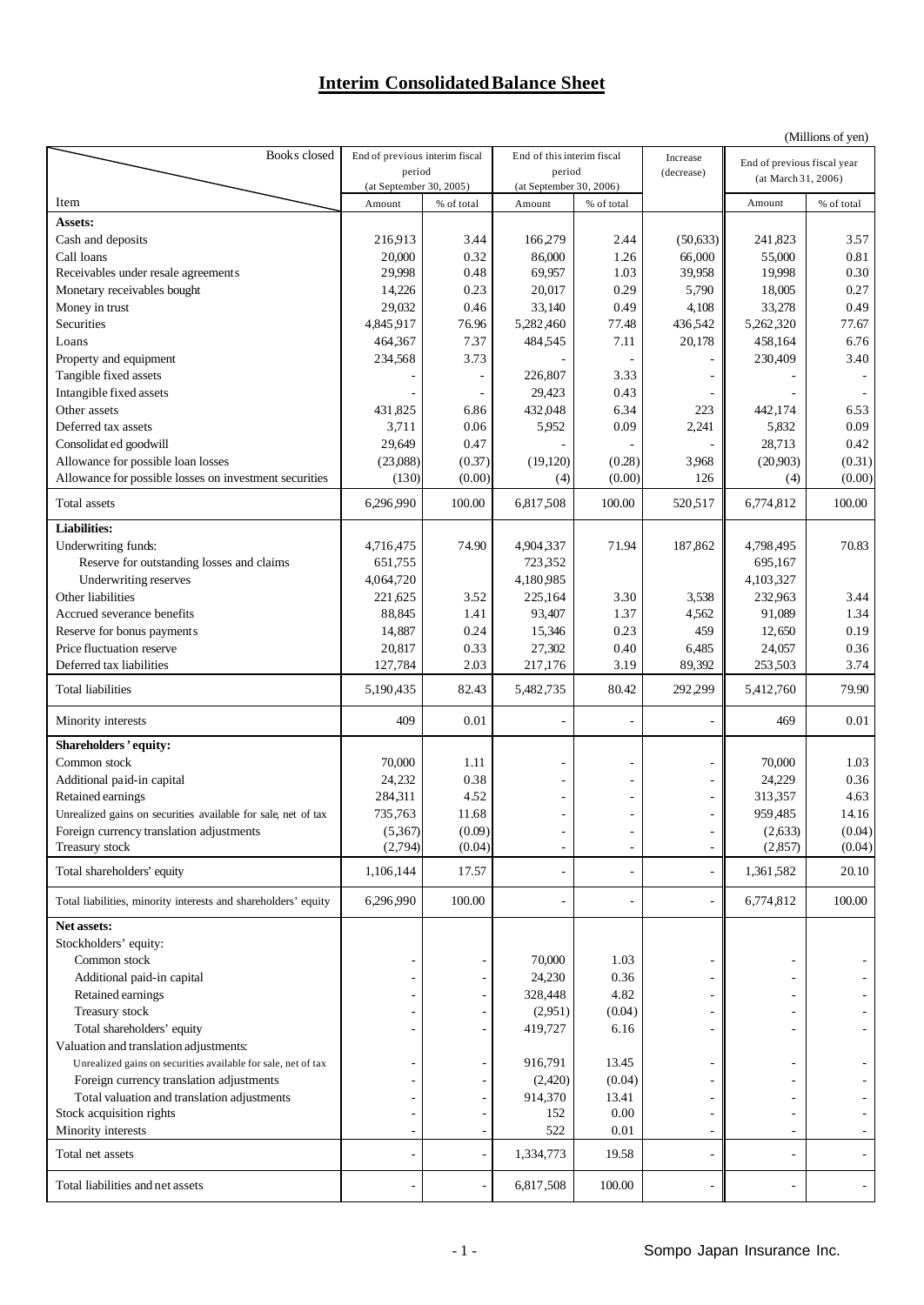## **Interim Consolidated Balance Sheet**

|                                                                |                                |                          |                            |                         |                |                             | (Millions of yen) |
|----------------------------------------------------------------|--------------------------------|--------------------------|----------------------------|-------------------------|----------------|-----------------------------|-------------------|
| Books closed                                                   | End of previous interim fiscal |                          | End of this interim fiscal |                         | Increase       | End of previous fiscal year |                   |
|                                                                | period                         |                          | period                     |                         | (decrease)     | (at March 31, 2006)         |                   |
|                                                                | (at September 30, 2005)        |                          |                            | (at September 30, 2006) |                |                             |                   |
| Item                                                           | Amount                         | % of total               | Amount                     | % of total              |                | Amount                      | % of total        |
| Assets:                                                        |                                |                          |                            |                         |                |                             |                   |
| Cash and deposits                                              | 216,913                        | 3.44                     | 166,279                    | 2.44                    | (50,633)       | 241,823                     | 3.57              |
| Call loans                                                     | 20,000                         | 0.32                     | 86,000                     | 1.26                    | 66,000         | 55,000                      | 0.81              |
| Receivables under resale agreements                            | 29,998                         | 0.48                     | 69,957                     | 1.03                    | 39,958         | 19,998                      | 0.30              |
| Monetary receivables bought                                    | 14,226                         | 0.23                     | 20,017                     | 0.29                    | 5,790          | 18,005                      | 0.27              |
| Money in trust                                                 | 29,032                         | 0.46                     | 33,140                     | 0.49                    | 4,108          | 33,278                      | 0.49              |
| Securities                                                     | 4,845,917                      | 76.96                    | 5,282,460                  | 77.48                   | 436,542        | 5,262,320                   | 77.67             |
| Loans                                                          | 464,367                        | 7.37                     | 484,545                    | 7.11                    | 20,178         | 458,164                     | 6.76              |
| Property and equipment                                         | 234,568                        | 3.73                     |                            |                         |                | 230,409                     | 3.40              |
| Tangible fixed assets                                          |                                | $\overline{\phantom{a}}$ | 226,807                    | 3.33                    |                |                             |                   |
| Intangible fixed assets                                        |                                |                          | 29,423                     | 0.43                    |                |                             |                   |
| Other assets                                                   | 431,825                        | 6.86                     | 432,048                    | 6.34                    | 223            | 442,174                     | 6.53              |
| Deferred tax assets                                            | 3,711                          | 0.06                     | 5,952                      | 0.09                    | 2,241          | 5,832                       | 0.09              |
| Consolidat ed goodwill                                         | 29,649                         | 0.47                     |                            |                         |                | 28,713                      | 0.42              |
| Allowance for possible loan losses                             | (23,088)                       | (0.37)                   | (19,120)                   | (0.28)                  | 3,968          | (20,903)                    | (0.31)            |
| Allowance for possible losses on investment securities         | (130)                          | (0.00)                   |                            | (0.00)                  | 126            |                             | (0.00)            |
|                                                                |                                |                          | (4)                        |                         |                | (4)                         |                   |
| Total assets                                                   | 6,296,990                      | 100.00                   | 6,817,508                  | 100.00                  | 520,517        | 6,774,812                   | 100.00            |
| <b>Liabilities:</b>                                            |                                |                          |                            |                         |                |                             |                   |
| Underwriting funds:                                            | 4,716,475                      | 74.90                    | 4,904,337                  | 71.94                   | 187,862        | 4,798,495                   | 70.83             |
| Reserve for outstanding losses and claims                      | 651,755                        |                          | 723,352                    |                         |                | 695,167                     |                   |
| Underwriting reserves                                          | 4,064,720                      |                          | 4,180,985                  |                         |                | 4,103,327                   |                   |
| Other liabilities                                              | 221,625                        | 3.52                     | 225,164                    | 3.30                    | 3,538          | 232,963                     | 3.44              |
| Accrued severance benefits                                     | 88,845                         | 1.41                     | 93,407                     | 1.37                    | 4,562          | 91,089                      | 1.34              |
| Reserve for bonus payments                                     | 14,887                         | 0.24                     | 15,346                     | 0.23                    | 459            | 12,650                      | 0.19              |
| Price fluctuation reserve                                      | 20,817                         | 0.33                     | 27,302                     | 0.40                    | 6,485          | 24,057                      | 0.36              |
| Deferred tax liabilities                                       | 127,784                        | 2.03                     | 217,176                    | 3.19                    | 89,392         | 253,503                     | 3.74              |
| Total liabilities                                              | 5,190,435                      | 82.43                    | 5,482,735                  | 80.42                   | 292,299        | 5,412,760                   | 79.90             |
|                                                                |                                |                          |                            |                         |                |                             |                   |
| Minority interests                                             | 409                            | 0.01                     |                            |                         | ä,             | 469                         | 0.01              |
| Shareholders' equity:                                          |                                |                          |                            |                         |                |                             |                   |
| Common stock                                                   | 70,000                         | 1.11                     |                            |                         |                | 70,000                      | 1.03              |
| Additional paid-in capital                                     | 24,232                         | 0.38                     |                            |                         | -              | 24,229                      | 0.36              |
| Retained earnings                                              | 284,311                        | 4.52                     |                            |                         | ÷              | 313,357                     | 4.63              |
| Unrealized gains on securities available for sale, net of tax  | 735,763                        | 11.68                    |                            |                         | ÷              | 959,485                     | 14.16             |
| Foreign currency translation adjustments                       | (5,367)                        | (0.09)                   |                            |                         |                | (2,633)                     | (0.04)            |
| Treasury stock                                                 | (2,794)                        | (0.04)                   |                            |                         | ٠              | (2,857)                     | (0.04)            |
| Total shareholders' equity                                     | 1,106,144                      | 17.57                    |                            |                         |                | 1,361,582                   | 20.10             |
| Total liabilities, minority interests and shareholders' equity | 6,296,990                      | 100.00                   |                            |                         | ٠              | 6,774,812                   | 100.00            |
| Net assets:                                                    |                                |                          |                            |                         |                |                             |                   |
| Stockholders' equity:                                          |                                |                          |                            |                         |                |                             |                   |
| Common stock                                                   |                                |                          | 70,000                     | 1.03                    | ÷              |                             |                   |
| Additional paid-in capital                                     |                                |                          | 24,230                     | 0.36                    | ÷,             |                             |                   |
| Retained earnings                                              |                                |                          | 328,448                    | 4.82                    | ÷              |                             |                   |
| Treasury stock                                                 |                                |                          | (2,951)                    | (0.04)                  |                |                             |                   |
| Total shareholders' equity                                     |                                |                          | 419,727                    | 6.16                    | ٠              |                             |                   |
| Valuation and translation adjustments:                         |                                |                          |                            |                         |                |                             |                   |
|                                                                |                                |                          | 916,791                    | 13.45                   |                |                             |                   |
| Unrealized gains on securities available for sale, net of tax  |                                |                          |                            |                         | $\overline{a}$ |                             |                   |
| Foreign currency translation adjustments                       |                                |                          | (2,420)                    | (0.04)                  |                |                             |                   |
| Total valuation and translation adjustments                    |                                |                          | 914,370                    | 13.41                   |                |                             |                   |
| Stock acquisition rights                                       |                                |                          | 152                        | 0.00                    |                |                             |                   |
| Minority interests                                             |                                |                          | 522                        | 0.01                    | ٠              |                             |                   |
| Total net assets                                               |                                |                          | 1,334,773                  | 19.58                   | $\overline{a}$ |                             |                   |
| Total liabilities and net assets                               |                                |                          | 6,817,508                  | 100.00                  |                |                             |                   |